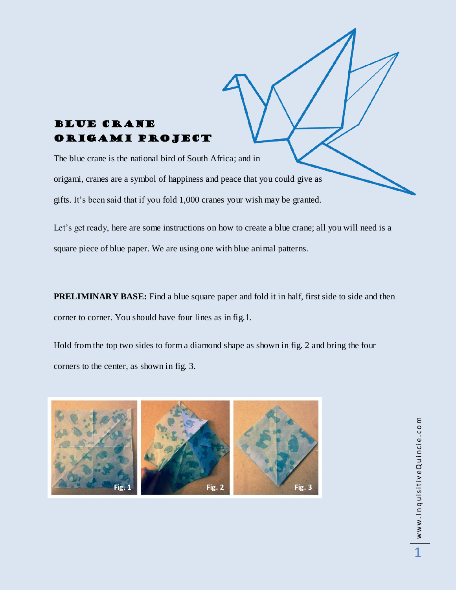## Blue Crane Origami Project

The blue crane is the national bird of South Africa; and in origami, cranes are a symbol of happiness and peace that you could give as gifts. It's been said that if you fold 1,000 cranes your wish may be granted.

Let's get ready, here are some instructions on how to create a blue crane; all you will need is a square piece of blue paper. We are using one with blue animal patterns.

**PRELIMINARY BASE:** Find a blue square paper and fold it in half, first side to side and then corner to corner. You should have four lines as in fig.1.

Hold from the top two sides to form a diamond shape as shown in fig. 2 and bring the four corners to the center, as shown in fig. 3.

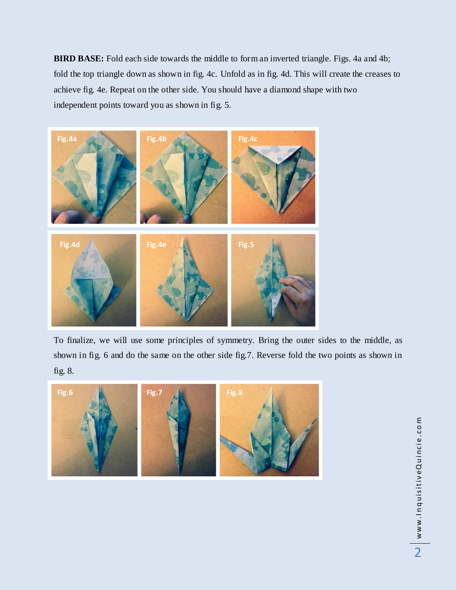**BIRD BASE:** Fold each side towards the middle to form an inverted triangle. Figs. 4a and 4b; fold the top triangle down as shown in fig. 4c. Unfold as in fig. 4d. This will create the creases to achieve fig. 4e. Repeat on the other side. You should have a diamond shape with two independent points toward you as shown in fig. 5.



To finalize, we will use some principles of symmetry. Bring the outer sides to the middle, as shown in fig. 6 and do the same on the other side fig.7. Reverse fold the two points as shown in fig. 8.



ww w. I n q u is it iv eQ u i nc i e. c o m www.InquisitiveQuincie.com